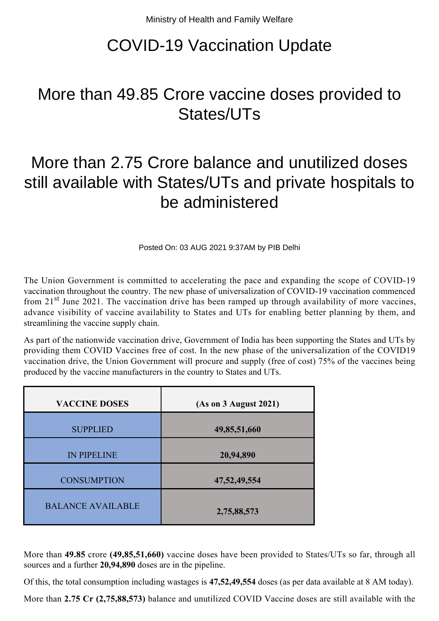## COVID-19 Vaccination Update

## More than 49.85 Crore vaccine doses provided to States/UTs

## More than 2.75 Crore balance and unutilized doses still available with States/UTs and private hospitals to be administered

Posted On: 03 AUG 2021 9:37AM by PIB Delhi

The Union Government is committed to accelerating the pace and expanding the scope of COVID-19 vaccination throughout the country. The new phase of universalization of COVID-19 vaccination commenced from  $21<sup>st</sup>$  June 2021. The vaccination drive has been ramped up through availability of more vaccines, advance visibility of vaccine availability to States and UTs for enabling better planning by them, and streamlining the vaccine supply chain.

As part of the nationwide vaccination drive, Government of India has been supporting the States and UTs by providing them COVID Vaccines free of cost. In the new phase of the universalization of the COVID19 vaccination drive, the Union Government will procure and supply (free of cost) 75% of the vaccines being produced by the vaccine manufacturers in the country to States and UTs.

| <b>VACCINE DOSES</b>     | (As on 3 August 2021) |
|--------------------------|-----------------------|
| <b>SUPPLIED</b>          | 49,85,51,660          |
| <b>IN PIPELINE</b>       | 20,94,890             |
| <b>CONSUMPTION</b>       | 47, 52, 49, 554       |
| <b>BALANCE AVAILABLE</b> | 2,75,88,573           |

More than **49.85** crore **(49,85,51,660)** vaccine doses have been provided to States/UTs so far, through all sources and a further **20,94,890** doses are in the pipeline.

Of this, the total consumption including wastages is **47,52,49,554** doses (as per data available at 8 AM today).

More than **2.75 Cr (2,75,88,573)** balance and unutilized COVID Vaccine doses are still available with the